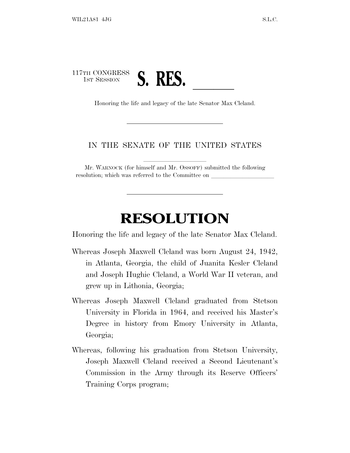## 117TH CONGRESS TH CONGRESS **S. RES.**<br>
Honoring the life and legacy of the late Senator Max Cleland.

## IN THE SENATE OF THE UNITED STATES

Mr. WARNOCK (for himself and Mr. OSSOFF) submitted the following resolution; which was referred to the Committee on

## **RESOLUTION**

Honoring the life and legacy of the late Senator Max Cleland.

- Whereas Joseph Maxwell Cleland was born August 24, 1942, in Atlanta, Georgia, the child of Juanita Kesler Cleland and Joseph Hughie Cleland, a World War II veteran, and grew up in Lithonia, Georgia;
- Whereas Joseph Maxwell Cleland graduated from Stetson University in Florida in 1964, and received his Master's Degree in history from Emory University in Atlanta, Georgia;
- Whereas, following his graduation from Stetson University, Joseph Maxwell Cleland received a Second Lieutenant's Commission in the Army through its Reserve Officers' Training Corps program;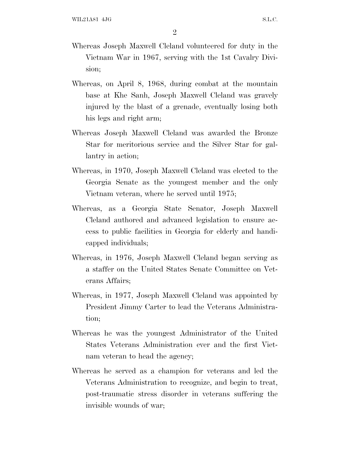- Whereas Joseph Maxwell Cleland volunteered for duty in the Vietnam War in 1967, serving with the 1st Cavalry Division;
- Whereas, on April 8, 1968, during combat at the mountain base at Khe Sanh, Joseph Maxwell Cleland was gravely injured by the blast of a grenade, eventually losing both his legs and right arm;
- Whereas Joseph Maxwell Cleland was awarded the Bronze Star for meritorious service and the Silver Star for gallantry in action;
- Whereas, in 1970, Joseph Maxwell Cleland was elected to the Georgia Senate as the youngest member and the only Vietnam veteran, where he served until 1975;
- Whereas, as a Georgia State Senator, Joseph Maxwell Cleland authored and advanced legislation to ensure access to public facilities in Georgia for elderly and handicapped individuals;
- Whereas, in 1976, Joseph Maxwell Cleland began serving as a staffer on the United States Senate Committee on Veterans Affairs;
- Whereas, in 1977, Joseph Maxwell Cleland was appointed by President Jimmy Carter to lead the Veterans Administration;
- Whereas he was the youngest Administrator of the United States Veterans Administration ever and the first Vietnam veteran to head the agency;
- Whereas he served as a champion for veterans and led the Veterans Administration to recognize, and begin to treat, post-traumatic stress disorder in veterans suffering the invisible wounds of war;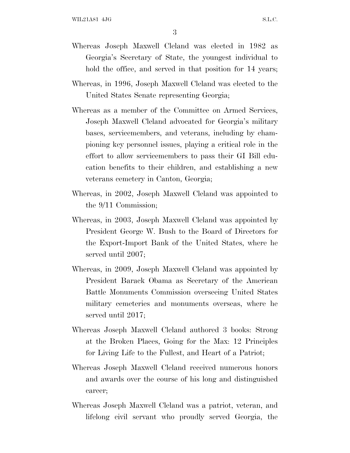3

- Whereas Joseph Maxwell Cleland was elected in 1982 as Georgia's Secretary of State, the youngest individual to hold the office, and served in that position for 14 years;
- Whereas, in 1996, Joseph Maxwell Cleland was elected to the United States Senate representing Georgia;
- Whereas as a member of the Committee on Armed Services, Joseph Maxwell Cleland advocated for Georgia's military bases, servicemembers, and veterans, including by championing key personnel issues, playing a critical role in the effort to allow servicemembers to pass their GI Bill education benefits to their children, and establishing a new veterans cemetery in Canton, Georgia;
- Whereas, in 2002, Joseph Maxwell Cleland was appointed to the 9/11 Commission;
- Whereas, in 2003, Joseph Maxwell Cleland was appointed by President George W. Bush to the Board of Directors for the Export-Import Bank of the United States, where he served until 2007;
- Whereas, in 2009, Joseph Maxwell Cleland was appointed by President Barack Obama as Secretary of the American Battle Monuments Commission overseeing United States military cemeteries and monuments overseas, where he served until 2017;
- Whereas Joseph Maxwell Cleland authored 3 books: Strong at the Broken Places, Going for the Max: 12 Principles for Living Life to the Fullest, and Heart of a Patriot;
- Whereas Joseph Maxwell Cleland received numerous honors and awards over the course of his long and distinguished career;
- Whereas Joseph Maxwell Cleland was a patriot, veteran, and lifelong civil servant who proudly served Georgia, the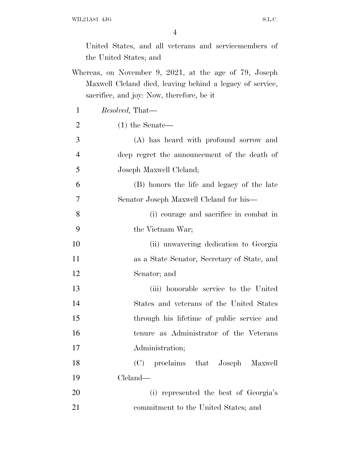United States, and all veterans and servicemembers of the United States; and

Whereas, on November 9, 2021, at the age of 79, Joseph Maxwell Cleland died, leaving behind a legacy of service, sacrifice, and joy: Now, therefore, be it

| $\mathbf{1}$   | <i>Resolved</i> , That—                      |
|----------------|----------------------------------------------|
| $\overline{2}$ | $(1)$ the Senate—                            |
| 3              | (A) has heard with profound sorrow and       |
| $\overline{4}$ | deep regret the announcement of the death of |
| 5              | Joseph Maxwell Cleland;                      |
| 6              | (B) honors the life and legacy of the late   |
| 7              | Senator Joseph Maxwell Cleland for his—      |
| 8              | (i) courage and sacrifice in combat in       |
| 9              | the Vietnam War;                             |
| 10             | (ii) unwavering dedication to Georgia        |
| 11             | as a State Senator, Secretary of State, and  |
| 12             | Senator; and                                 |
| 13             | (iii) honorable service to the United        |
| 14             | States and veterans of the United States     |
| 15             | through his lifetime of public service and   |
| 16             | tenure as Administrator of the Veterans      |
| 17             | Administration;                              |
| 18             | (C) proclaims that Joseph Maxwell            |
| 19             | Cleland—                                     |
| 20             | (i) represented the best of Georgia's        |
| 21             | commitment to the United States; and         |